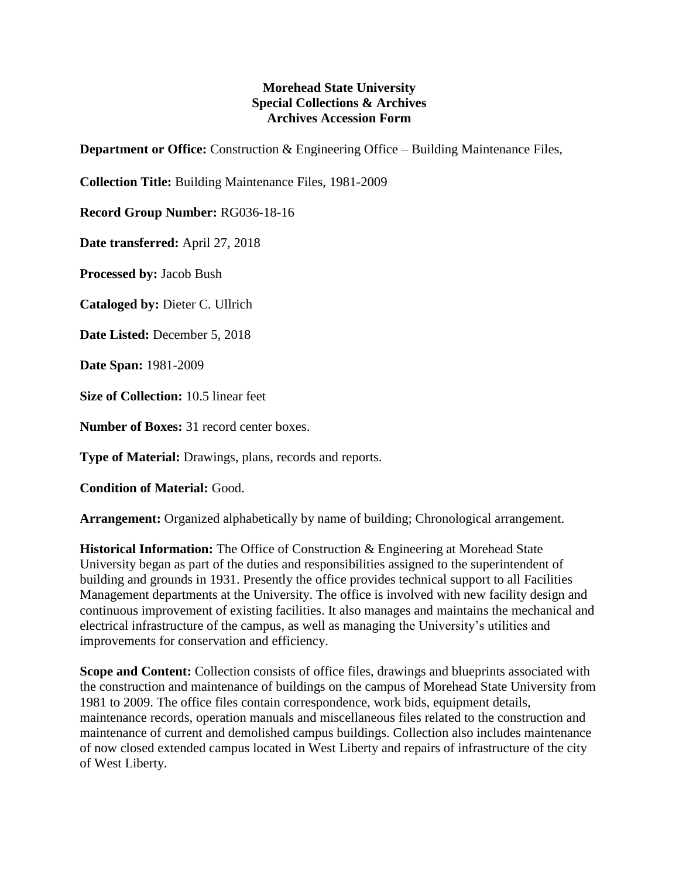## **Morehead State University Special Collections & Archives Archives Accession Form**

**Department or Office:** Construction & Engineering Office – Building Maintenance Files,

**Collection Title:** Building Maintenance Files, 1981-2009

**Record Group Number:** RG036-18-16

**Date transferred:** April 27, 2018

**Processed by:** Jacob Bush

**Cataloged by:** Dieter C. Ullrich

**Date Listed:** December 5, 2018

**Date Span:** 1981-2009

**Size of Collection:** 10.5 linear feet

**Number of Boxes:** 31 record center boxes.

**Type of Material:** Drawings, plans, records and reports.

**Condition of Material:** Good.

**Arrangement:** Organized alphabetically by name of building; Chronological arrangement.

**Historical Information:** The Office of Construction & Engineering at Morehead State University began as part of the duties and responsibilities assigned to the superintendent of building and grounds in 1931. Presently the office provides technical support to all Facilities Management departments at the University. The office is involved with new facility design and continuous improvement of existing facilities. It also manages and maintains the mechanical and electrical infrastructure of the campus, as well as managing the University's utilities and improvements for conservation and efficiency.

**Scope and Content:** Collection consists of office files, drawings and blueprints associated with the construction and maintenance of buildings on the campus of Morehead State University from 1981 to 2009. The office files contain correspondence, work bids, equipment details, maintenance records, operation manuals and miscellaneous files related to the construction and maintenance of current and demolished campus buildings. Collection also includes maintenance of now closed extended campus located in West Liberty and repairs of infrastructure of the city of West Liberty.